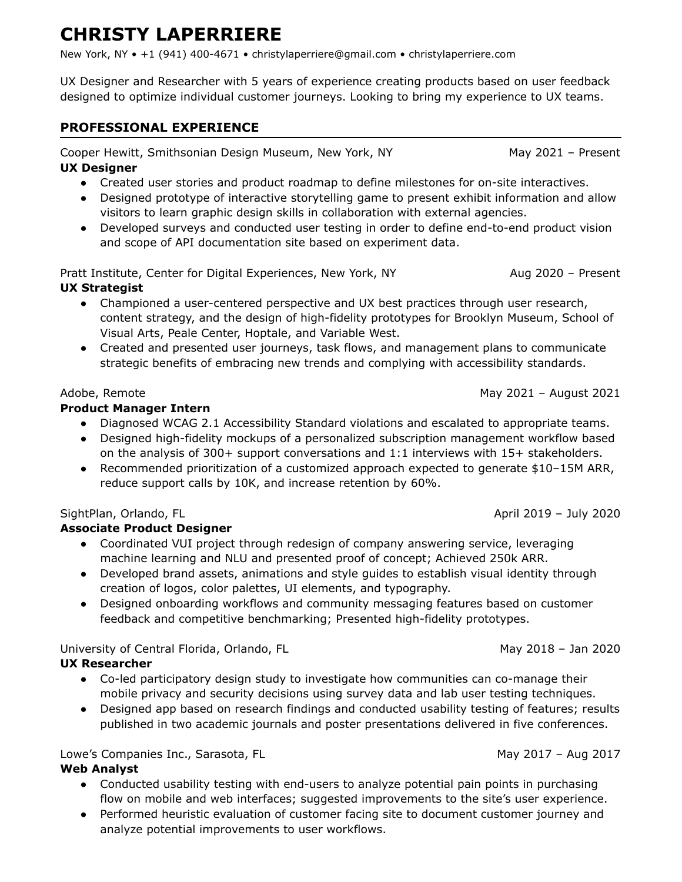# **CHRISTY LAPERRIERE**

New York, NY • +1 (941) 400-4671 • christylaperriere@gmail.com • christylaperriere.com

UX Designer and Researcher with 5 years of experience creating products based on user feedback designed to optimize individual customer journeys. Looking to bring my experience to UX teams.

### **PROFESSIONAL EXPERIENCE**

Cooper Hewitt, Smithsonian Design Museum, New York, NY May 2021 - Present

## **UX Designer**

- Created user stories and product roadmap to define milestones for on-site interactives.
- Designed prototype of interactive storytelling game to present exhibit information and allow visitors to learn graphic design skills in collaboration with external agencies.
- Developed surveys and conducted user testing in order to define end-to-end product vision and scope of API documentation site based on experiment data.

Pratt Institute, Center for Digital Experiences, New York, NY Aug 2020 - Present

#### **UX Strategist**

- Championed a user-centered perspective and UX best practices through user research, content strategy, and the design of high-fidelity prototypes for Brooklyn Museum, School of Visual Arts, Peale Center, Hoptale, and Variable West.
- Created and presented user journeys, task flows, and management plans to communicate strategic benefits of embracing new trends and complying with accessibility standards.

#### Adobe, Remote **May 2021** – August 2021 – August 2021

#### **Product Manager Intern**

- Diagnosed WCAG 2.1 Accessibility Standard violations and escalated to appropriate teams.
- Designed high-fidelity mockups of a personalized subscription management workflow based on the analysis of 300+ support conversations and 1:1 interviews with 15+ stakeholders.
- Recommended prioritization of a customized approach expected to generate \$10–15M ARR, reduce support calls by 10K, and increase retention by 60%.

#### SightPlan, Orlando, FL April 2019 – July 2020

#### **Associate Product Designer**

- Coordinated VUI project through redesign of company answering service, leveraging machine learning and NLU and presented proof of concept; Achieved 250k ARR.
- Developed brand assets, animations and style guides to establish visual identity through creation of logos, color palettes, UI elements, and typography.
- Designed onboarding workflows and community messaging features based on customer feedback and competitive benchmarking; Presented high-fidelity prototypes.

University of Central Florida, Orlando, FL May 2018 – Jan 2020

#### **UX Researcher**

- Co-led participatory design study to investigate how communities can co-manage their mobile privacy and security decisions using survey data and lab user testing techniques.
- Designed app based on research findings and conducted usability testing of features; results published in two academic journals and poster presentations delivered in five conferences.

Lowe's Companies Inc., Sarasota, FL May 2017 – Aug 2017 – Aug 2017

#### **Web Analyst**

- Conducted usability testing with end-users to analyze potential pain points in purchasing flow on mobile and web interfaces; suggested improvements to the site's user experience.
- Performed heuristic evaluation of customer facing site to document customer journey and analyze potential improvements to user workflows.